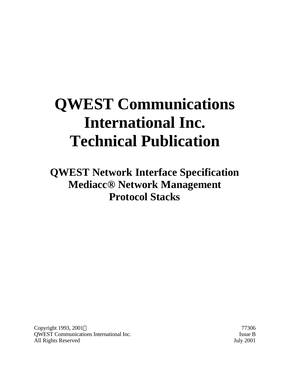# **QWEST Communications International Inc. Technical Publication**

**QWEST Network Interface Specification Mediacc® Network Management Protocol Stacks**

Copyright 1993, 2001 © 77306 QWEST Communications International Inc. Issue B All Rights Reserved July 2001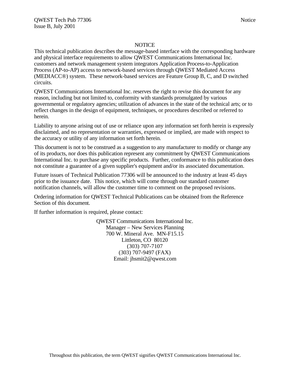### **NOTICE**

This technical publication describes the message-based interface with the corresponding hardware and physical interface requirements to allow QWEST Communications International Inc. customers and network management system integrators Application Process-to-Application Process (AP-to-AP) access to network-based services through QWEST Mediated Access (MEDIACC®) system. These network-based services are Feature Group B, C, and D switched circuits.

QWEST Communications International Inc. reserves the right to revise this document for any reason, including but not limited to, conformity with standards promulgated by various governmental or regulatory agencies; utilization of advances in the state of the technical arts; or to reflect changes in the design of equipment, techniques, or procedures described or referred to herein.

Liability to anyone arising out of use or reliance upon any information set forth herein is expressly disclaimed, and no representation or warranties, expressed or implied, are made with respect to the accuracy or utility of any information set forth herein.

This document is not to be construed as a suggestion to any manufacturer to modify or change any of its products, nor does this publication represent any commitment by QWEST Communications International Inc. to purchase any specific products. Further, conformance to this publication does not constitute a guarantee of a given supplier's equipment and/or its associated documentation.

Future issues of Technical Publication 77306 will be announced to the industry at least 45 days prior to the issuance date. This notice, which will come through our standard customer notification channels, will allow the customer time to comment on the proposed revisions.

Ordering information for QWEST Technical Publications can be obtained from the Reference Section of this document.

If further information is required, please contact:

QWEST Communications International Inc. Manager – New Services Planning 700 W. Mineral Ave. MN-F15.15 Littleton, CO 80120 (303) 707-7107 (303) 707-9497 (FAX) Email: jhsmit2@qwest.com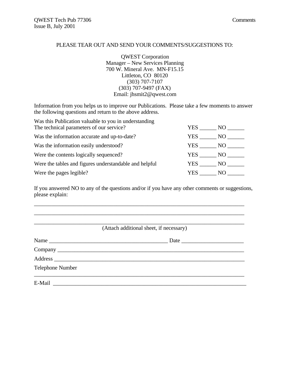### PLEASE TEAR OUT AND SEND YOUR COMMENTS/SUGGESTIONS TO:

QWEST Corporation Manager – New Services Planning 700 W. Mineral Ave. MN-F15.15 Littleton, CO 80120 (303) 707-7107 (303) 707-9497 (FAX) Email: jhsmit2@qwest.com

Information from you helps us to improve our Publications. Please take a few moments to answer the following questions and return to the above address.

| Was this Publication valuable to you in understanding  |              |  |
|--------------------------------------------------------|--------------|--|
| The technical parameters of our service?               | YES .<br>NO. |  |
| Was the information accurate and up-to-date?           | YES.<br>NO.  |  |
| Was the information easily understood?                 | YES<br>NO.   |  |
| Were the contents logically sequenced?                 | YES<br>NO.   |  |
| Were the tables and figures understandable and helpful | YES<br>NO.   |  |
| Were the pages legible?                                | YES.<br>NO.  |  |

If you answered NO to any of the questions and/or if you have any other comments or suggestions, please explain:

\_\_\_\_\_\_\_\_\_\_\_\_\_\_\_\_\_\_\_\_\_\_\_\_\_\_\_\_\_\_\_\_\_\_\_\_\_\_\_\_\_\_\_\_\_\_\_\_\_\_\_\_\_\_\_\_\_\_\_\_\_\_\_\_\_\_\_\_\_\_\_\_\_\_

|                  | (Attach additional sheet, if necessary) |
|------------------|-----------------------------------------|
|                  |                                         |
|                  |                                         |
|                  |                                         |
| Telephone Number |                                         |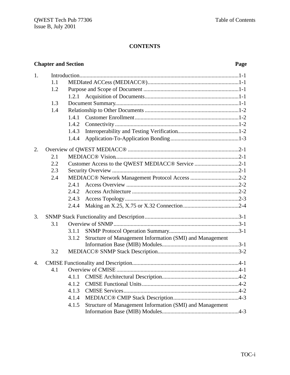## **Chapter and Section Page**

| 1.               |     |                                                                   |
|------------------|-----|-------------------------------------------------------------------|
|                  | 1.1 |                                                                   |
|                  | 1.2 |                                                                   |
|                  |     | 1.2.1                                                             |
|                  | 1.3 |                                                                   |
|                  | 1.4 |                                                                   |
|                  |     | 1.4.1                                                             |
|                  |     | 1.4.2                                                             |
|                  |     | 1.4.3                                                             |
|                  |     | 1.4.4                                                             |
| 2.               |     |                                                                   |
|                  | 2.1 |                                                                   |
|                  | 2.2 | Customer Access to the QWEST MEDIACC <sup>®</sup> Service 2-1     |
|                  | 2.3 |                                                                   |
|                  | 2.4 |                                                                   |
|                  |     | 2.4.1                                                             |
|                  |     | 2.4.2                                                             |
|                  |     | 2.4.3                                                             |
|                  |     | 2.4.4                                                             |
| 3.               |     |                                                                   |
|                  | 3.1 |                                                                   |
|                  |     | 3.1.1                                                             |
|                  |     | Structure of Management Information (SMI) and Management<br>3.1.2 |
|                  |     |                                                                   |
|                  | 3.2 |                                                                   |
| $\overline{4}$ . |     |                                                                   |
|                  | 4.1 |                                                                   |
|                  |     | 4.1.1                                                             |
|                  |     | 4.1.2                                                             |
|                  |     | 4.1.3                                                             |
|                  |     | 4.1.4                                                             |
|                  |     | Structure of Management Information (SMI) and Management<br>4.1.5 |
|                  |     |                                                                   |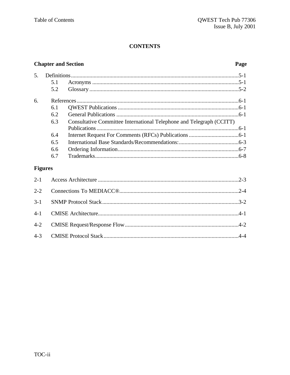## **Chapter and Section**

## Page

| 5. |     |                                                                      |  |
|----|-----|----------------------------------------------------------------------|--|
|    | 5.1 |                                                                      |  |
|    | 5.2 |                                                                      |  |
| б. |     |                                                                      |  |
|    | 6.1 |                                                                      |  |
|    | 6.2 |                                                                      |  |
|    | 6.3 | Consultative Committee International Telephone and Telegraph (CCITT) |  |
|    |     |                                                                      |  |
|    | 6.4 |                                                                      |  |
|    | 6.5 |                                                                      |  |
|    | 6.6 |                                                                      |  |
|    | 6.7 |                                                                      |  |
|    |     |                                                                      |  |

## **Figures**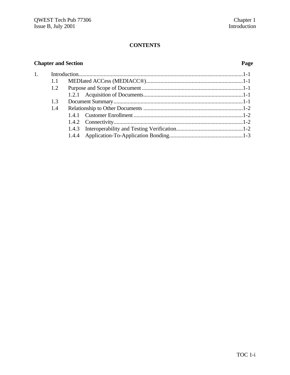## **Chapter and Section Page**

| 1. |     |  |
|----|-----|--|
|    | 1.1 |  |
|    | 1.2 |  |
|    |     |  |
|    | 1.3 |  |
|    | 1.4 |  |
|    |     |  |
|    |     |  |
|    |     |  |
|    |     |  |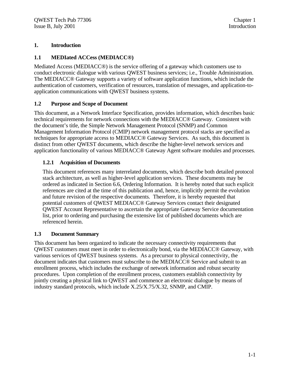## **1. Introduction**

## **1.1 MEDIated ACCess (MEDIACC®)**

Mediated Access (MEDIACC®) is the service offering of a gateway which customers use to conduct electronic dialogue with various QWEST business services; i.e., Trouble Administration. The MEDIACC® Gateway supports a variety of software application functions, which include the authentication of customers, verification of resources, translation of messages, and application-toapplication communications with QWEST business systems.

## **1.2 Purpose and Scope of Document**

This document, as a Network Interface Specification, provides information, which describes basic technical requirements for network connections with the MEDIACC® Gateway. Consistent with the document's title, the Simple Network Management Protocol (SNMP) and Common Management Information Protocol (CMIP) network management protocol stacks are specified as techniques for appropriate access to MEDIACC® Gateway Services. As such, this document is distinct from other QWEST documents, which describe the higher-level network services and application functionality of various MEDIACC® Gateway Agent software modules and processes.

## **1.2.1 Acquisition of Documents**

This document references many interrelated documents, which describe both detailed protocol stack architecture, as well as higher-level application services. These documents may be ordered as indicated in Section 6.6, Ordering Information. It is hereby noted that such explicit references are cited at the time of this publication and, hence, implicitly permit the evolution and future revision of the respective documents. Therefore, it is hereby requested that potential customers of QWEST MEDIACC® Gateway Services contact their designated QWEST Account Representative to ascertain the appropriate Gateway Service documentation list, prior to ordering and purchasing the extensive list of published documents which are referenced herein.

## **1.3 Document Summary**

This document has been organized to indicate the necessary connectivity requirements that QWEST customers must meet in order to electronically bond, via the MEDIACC® Gateway, with various services of QWEST business systems. As a precursor to physical connectivity, the document indicates that customers must subscribe to the MEDIACC® Service and submit to an enrollment process, which includes the exchange of network information and robust security procedures. Upon completion of the enrollment process, customers establish connectivity by jointly creating a physical link to QWEST and commence an electronic dialogue by means of industry standard protocols, which include X.25/X.75/X.32, SNMP, and CMIP.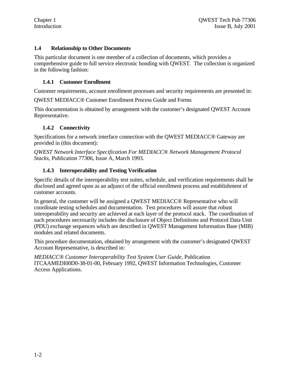## **1.4 Relationship to Other Documents**

This particular document is one member of a collection of documents, which provides a comprehensive guide to full service electronic bonding with QWEST. The collection is organized in the following fashion:

## **1.4.1 Customer Enrollment**

Customer requirements, account enrollment processes and security requirements are presented in:

QWEST MEDIACC® Customer Enrollment Process Guide and Forms

This documentation is obtained by arrangement with the customer's designated QWEST Account Representative.

## **1.4.2 Connectivity**

Specifications for a network interface connection with the QWEST MEDIACC® Gateway are provided in (this document):

*QWEST Network Interface Specification For MEDIACC® Network Management Protocol Stacks,* Publication 77306, Issue A, March 1993.

## **1.4.3 Interoperability and Testing Verification**

Specific details of the interoperability test suites, schedule, and verification requirements shall be disclosed and agreed upon as an adjunct of the official enrollment process and establishment of customer accounts.

In general, the customer will be assigned a QWEST MEDIACC® Representative who will coordinate testing schedules and documentation. Test procedures will assure that robust interoperability and security are achieved at each layer of the protocol stack. The coordination of such procedures necessarily includes the disclosure of Object Definitions and Protocol Data Unit (PDU) exchange sequences which are described in QWEST Management Information Base (MIB) modules and related documents.

This procedure documentation, obtained by arrangement with the customer's designated QWEST Account Representative, is described in:

*MEDIACC® Customer Interoperability Test System User Guide,* Publication ITCAAMEDI00D0-38-01-00, February 1992, QWEST Information Technologies, Customer Access Applications.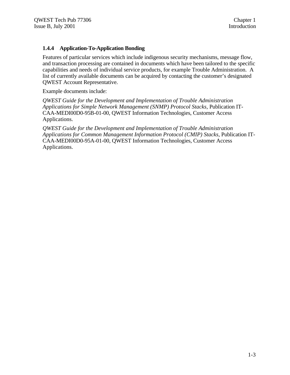## **1.4.4 Application-To-Application Bonding**

Features of particular services which include indigenous security mechanisms, message flow, and transaction processing are contained in documents which have been tailored to the specific capabilities and needs of individual service products, for example Trouble Administration. A list of currently available documents can be acquired by contacting the customer's designated QWEST Account Representative.

Example documents include:

*QWEST Guide for the Development and Implementation of Trouble Administration Applications for Simple Network Management (SNMP) Protocol Stacks,* Publication IT-CAA-MEDI00D0-95B-01-00, QWEST Information Technologies, Customer Access Applications.

*QWEST Guide for the Development and Implementation of Trouble Administration Applications for Common Management Information Protocol (CMIP) Stacks,* Publication IT-CAA-MEDI00D0-95A-01-00, QWEST Information Technologies, Customer Access Applications.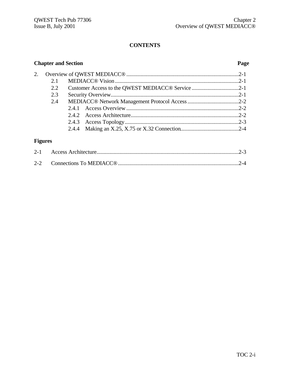## **Chapter and Section Page**

| 2. |         |                                                   |  |
|----|---------|---------------------------------------------------|--|
|    | 2.1     |                                                   |  |
|    | 2.2     | Customer Access to the QWEST MEDIACC® Service 2-1 |  |
|    | 2.3     |                                                   |  |
|    | 2.4     |                                                   |  |
|    |         |                                                   |  |
|    |         |                                                   |  |
|    |         |                                                   |  |
|    |         |                                                   |  |
|    |         |                                                   |  |
|    | Figures |                                                   |  |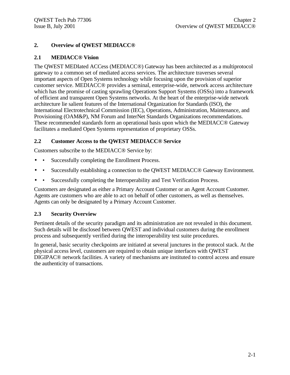## **2. Overview of QWEST MEDIACC®**

## **2.1 MEDIACC® Vision**

The QWEST MEDIated ACCess (MEDIACC®) Gateway has been architected as a multiprotocol gateway to a common set of mediated access services. The architecture traverses several important aspects of Open Systems technology while focusing upon the provision of superior customer service. MEDIACC® provides a seminal, enterprise-wide, network access architecture which has the promise of casting sprawling Operations Support Systems (OSSs) into a framework of efficient and transparent Open Systems networks. At the heart of the enterprise-wide network architecture lie salient features of the International Organization for Standards (ISO), the International Electrotechnical Commission (IEC), Operations, Administration, Maintenance, and Provisioning (OAM&P), NM Forum and InterNet Standards Organizations recommendations. These recommended standards form an operational basis upon which the MEDIACC® Gateway facilitates a mediated Open Systems representation of proprietary OSSs.

## **2.2 Customer Access to the QWEST MEDIACC® Service**

Customers subscribe to the MEDIACC® Service by:

- • Successfully completing the Enrollment Process.
- • Successfully establishing a connection to the QWEST MEDIACC® Gateway Environment.
- • Successfully completing the Interoperability and Test Verification Process.

Customers are designated as either a Primary Account Customer or an Agent Account Customer. Agents are customers who are able to act on behalf of other customers, as well as themselves. Agents can only be designated by a Primary Account Customer.

## **2.3 Security Overview**

Pertinent details of the security paradigm and its administration are not revealed in this document. Such details will be disclosed between QWEST and individual customers during the enrollment process and subsequently verified during the interoperability test suite procedures.

In general, basic security checkpoints are initiated at several junctures in the protocol stack. At the physical access level, customers are required to obtain unique interfaces with QWEST DIGIPAC® network facilities. A variety of mechanisms are instituted to control access and ensure the authenticity of transactions.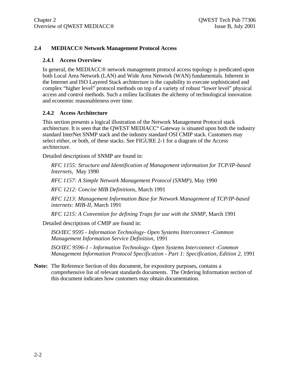## **2.4 MEDIACC® Network Management Protocol Access**

## **2.4.1 Access Overview**

In general, the MEDIACC® network management protocol access topology is predicated upon both Local Area Network (LAN) and Wide Area Network (WAN) fundamentals. Inherent in the Internet and ISO Layered Stack architecture is the capability to execute sophisticated and complex "higher level" protocol methods on top of a variety of robust "lower level" physical access and control methods. Such a milieu facilitates the alchemy of technological innovation and economic reasonableness over time.

## **2.4.2 Access Architecture**

This section presents a logical illustration of the Network Management Protocol stack architecture. It is seen that the QWEST MEDIACC" Gateway is situated upon both the industry standard InterNet SNMP stack and the industry standard OSI CMIP stack. Customers may select either, or both, of these stacks. See FIGURE 2-1 for a diagram of the Access architecture.

Detailed descriptions of SNMP are found in:

*RFC 1155: Structure and Identification of Management information for TCP/IP-based Internets,* May 1990

*RFC 1157: A Simple Network Management Protocol (SNMP),* May 1990

*RFC 1212: Concise MIB Definitions,* March 1991

*RFC 1213: Management Information Base for Network Management of TCP/IP-based internets: MIB-II,* March 1991

*RFC 1215: A Convention for defining Traps for use with the SNMP,* March 1991

Detailed descriptions of CMIP are found in:

*ISO/IEC 9595 - Information Technology- Open Systems Interconnect -Common Management Information Service Definition,* 1991

*ISO/IEC 9596-1 - Information Technology- Open Systems Interconnect -Common Management Information Protocol Specification - Part 1: Specification, Edition 2,* 1991

**Note:** The Reference Section of this document, for expository purposes, contains a comprehensive list of relevant standards documents. The Ordering Information section of this document indicates how customers may obtain documentation.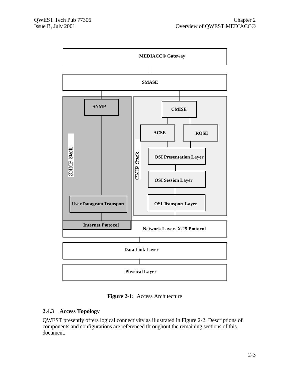

**Figure 2-1:** Access Architecture

## **2.4.3 Access Topology**

QWEST presently offers logical connectivity as illustrated in Figure 2-2. Descriptions of components and configurations are referenced throughout the remaining sections of this document.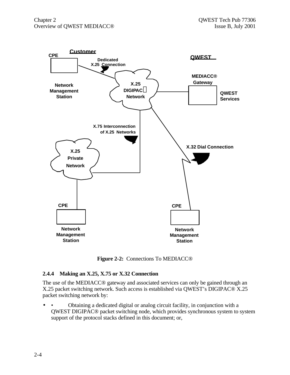

**Figure 2-2:** Connections To MEDIACC®

## **2.4.4 Making an X.25, X.75 or X.32 Connection**

The use of the MEDIACC® gateway and associated services can only be gained through an X.25 packet switching network. Such access is established via QWEST's DIGIPAC® X.25 packet switching network by:

• • Obtaining a dedicated digital or analog circuit facility, in conjunction with a QWEST DIGIPAC® packet switching node, which provides synchronous system to system support of the protocol stacks defined in this document; or,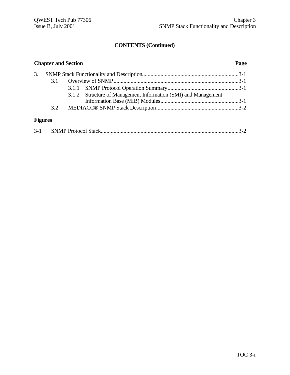## **CONTENTS (Continued)**

|                | <b>Chapter and Section</b> |                                                                | Page |
|----------------|----------------------------|----------------------------------------------------------------|------|
| 3.             |                            |                                                                |      |
|                | 3.1                        |                                                                |      |
|                |                            |                                                                |      |
|                |                            | 3.1.2 Structure of Management Information (SMI) and Management |      |
|                |                            |                                                                |      |
|                | 3.2                        |                                                                |      |
| <b>Figures</b> |                            |                                                                |      |
|                |                            |                                                                |      |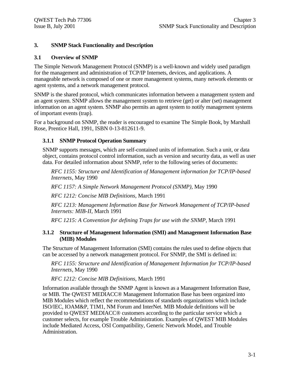## **3. SNMP Stack Functionality and Description**

## **3.1 Overview of SNMP**

The Simple Network Management Protocol (SNMP) is a well-known and widely used paradigm for the management and administration of TCP/IP Internets, devices, and applications. A manageable network is composed of one or more management systems, many network elements or agent systems, and a network management protocol.

SNMP is the shared protocol, which communicates information between a management system and an agent system. SNMP allows the management system to retrieve (get) or alter (set) management information on an agent system. SNMP also permits an agent system to notify management systems of important events (trap).

For a background on SNMP, the reader is encouraged to examine The Simple Book, by Marshall Rose, Prentice Hall, 1991, ISBN 0-13-812611-9.

## **3.1.1 SNMP Protocol Operation Summary**

SNMP supports messages, which are self-contained units of information. Such a unit, or data object, contains protocol control information, such as version and security data, as well as user data. For detailed information about SNMP, refer to the following series of documents:

*RFC 1155: Structure and Identification of Management information for TCP/IP-based Internets,* May 1990

*RFC 1157: A Simple Network Management Protocol (SNMP),* May 1990

*RFC 1212: Concise MIB Definitions,* March 1991

*RFC 1213: Management Information Base for Network Management of TCP/IP-based Internets: MIB-II,* March 1991

*RFC 1215: A Convention for defining Traps for use with the SNMP,* March 1991

## **3.1.2 Structure of Management Information (SMI) and Management Information Base (MIB) Modules**

The Structure of Management Information (SMI) contains the rules used to define objects that can be accessed by a network management protocol. For SNMP, the SMI is defined in:

*RFC 1155: Structure and Identification of Management Information for TCP/IP-based Internets,* May 1990

*RFC 1212: Concise MIB Definitions,* March 1991

Information available through the SNMP Agent is known as a Management Information Base, or MIB. The QWEST MEDIACC® Management Information Base has been organized into MIB Modules which reflect the recommendations of standards organizations which include ISO/IEC, IOAM&P, T1M1, NM Forum and InterNet. MIB Module definitions will be provided to QWEST MEDIACC® customers according to the particular service which a customer selects, for example Trouble Administration. Examples of QWEST MIB Modules include Mediated Access, OSI Compatibility, Generic Network Model, and Trouble Administration.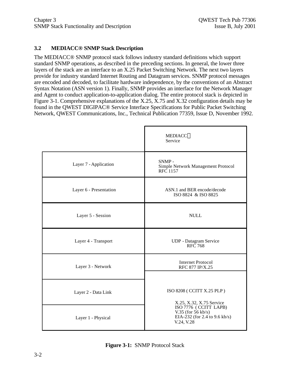## **3.2 MEDIACC® SNMP Stack Description**

The MEDIACC® SNMP protocol stack follows industry standard definitions which support standard SNMP operations, as described in the preceding sections. In general, the lower three layers of the stack are an interface to an X.25 Packet Switching Network. The next two layers provide for industry standard Internet Routing and Datagram services. SNMP protocol messages are encoded and decoded, to facilitate hardware independence, by the conventions of an Abstract Syntax Notation (ASN version 1). Finally, SNMP provides an interface for the Network Manager and Agent to conduct application-to-application dialog. The entire protocol stack is depicted in Figure 3-1. Comprehensive explanations of the X.25, X.75 and X.32 configuration details may be found in the QWEST DIGIPAC® Service Interface Specifications for Public Packet Switching Network, QWEST Communications, Inc., Technical Publication 77359, Issue D, November 1992.

|                        | <b>MEDIACC®</b><br>Service                                                                   |
|------------------------|----------------------------------------------------------------------------------------------|
| Layer 7 - Application  | SNMP-<br>Simple Network Management Protocol<br>RFC 1157                                      |
| Layer 6 - Presentation | ASN.1 and BER encode/decode<br>ISO 8824 & ISO 8825                                           |
| Layer 5 - Session      | <b>NULL</b>                                                                                  |
| Layer 4 - Transport    | UDP - Datagram Service<br><b>RFC</b> 768                                                     |
| Layer 3 - Network      | <b>Internet Protocol</b><br>RFC 877 IP/X.25                                                  |
| Layer 2 - Data Link    | ISO 8208 ( CCITT X.25 PLP )<br>X.25, X.32, X.75 Service                                      |
| Layer 1 - Physical     | ISO 7776 (CCITT LAPB)<br>V.35 (for $56$ kb/s)<br>EIA-232 (for 2.4 to 9.6 kb/s)<br>V.24, V.28 |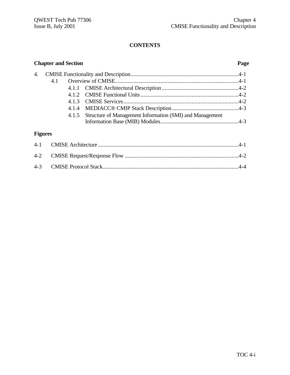## **Chapter and Section Page** 4. CMISE Functionality and Description............................................................................4-1 4.1 Overview of CMISE.......................................................................................4-1 4.1.1 CMISE Architectural Description ......................................................4-2 4.1.2 CMISE Functional Units.....................................................................4-2 4.1.3 CMISE Services.................................................................................4-2 4.1.4 MEDIACC® CMIP Stack Description...............................................4-3 4.1.5 Structure of Management Information (SMI) and Management Information Base (MIB) Modules.......................................................4-3 **Figures** 4-1 CMISE Architecture ...................................................................................................4-1 4-2 CMISE Request/Response Flow ................................................................................4-2 4-3 CMISE Protocol Stack................................................................................................4-4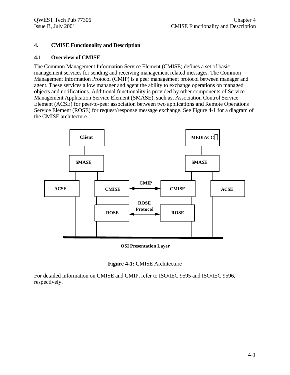## **4. CMISE Functionality and Description**

## **4.1 Overview of CMISE**

The Common Management Information Service Element (CMISE) defines a set of basic management services for sending and receiving management related messages. The Common Management Information Protocol (CMIP) is a peer management protocol between manager and agent. These services allow manager and agent the ability to exchange operations on managed objects and notifications. Additional functionality is provided by other components of Service Management Application Service Element (SMASE), such as, Association Control Service Element (ACSE) for peer-to-peer association between two applications and Remote Operations Service Element (ROSE) for request/response message exchange. See Figure 4-1 for a diagram of the CMISE architecture.



**OSI Presentation Layer**



For detailed information on CMISE and CMIP, refer to ISO/IEC 9595 and ISO/IEC 9596, respectively.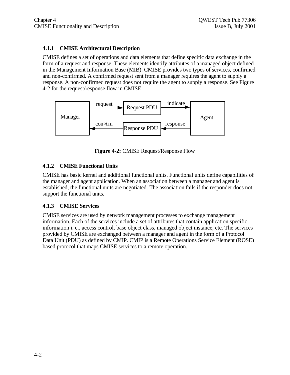## **4.1.1 CMISE Architectural Description**

CMISE defines a set of operations and data elements that define specific data exchange in the form of a request and response. These elements identify attributes of a managed object defined in the Management Information Base (MIB). CMISE provides two types of services, confirmed and non-confirmed. A confirmed request sent from a manager requires the agent to supply a response. A non-confirmed request does not require the agent to supply a response. See Figure 4-2 for the request/response flow in CMISE.



**Figure 4-2:** CMISE Request/Response Flow

## **4.1.2 CMISE Functional Units**

CMISE has basic kernel and additional functional units. Functional units define capabilities of the manager and agent application. When an association between a manager and agent is established, the functional units are negotiated. The association fails if the responder does not support the functional units.

## **4.1.3 CMISE Services**

CMISE services are used by network management processes to exchange management information. Each of the services include a set of attributes that contain application specific information i. e., access control, base object class, managed object instance, etc. The services provided by CMISE are exchanged between a manager and agent in the form of a Protocol Data Unit (PDU) as defined by CMIP. CMIP is a Remote Operations Service Element (ROSE) based protocol that maps CMISE services to a remote operation.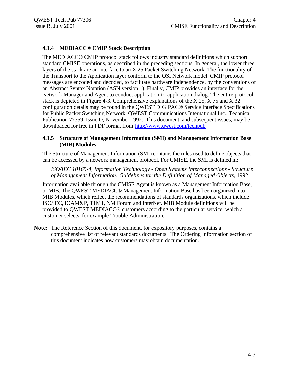## **4.1.4 MEDIACC® CMIP Stack Description**

The MEDIACC® CMIP protocol stack follows industry standard definitions which support standard CMISE operations, as described in the preceding sections. In general, the lower three layers of the stack are an interface to an X.25 Packet Switching Network. The functionality of the Transport to the Application layer conform to the OSI Network model. CMIP protocol messages are encoded and decoded, to facilitate hardware independence, by the conventions of an Abstract Syntax Notation (ASN version 1). Finally, CMIP provides an interface for the Network Manager and Agent to conduct application-to-application dialog. The entire protocol stack is depicted in Figure 4-3. Comprehensive explanations of the X.25, X.75 and X.32 configuration details may be found in the QWEST DIGIPAC® Service Interface Specifications for Public Packet Switching Network, QWEST Communications International Inc., Technical Publication 77359, Issue D, November 1992. This document, and subsequent issues, may be downloaded for free in PDF format from http://www.qwest.com/techpub .

## **4.1.5 Structure of Management Information (SMI) and Management Information Base (MIB) Modules**

The Structure of Management Information (SMI) contains the rules used to define objects that can be accessed by a network management protocol. For CMISE, the SMI is defined in:

*ISO/IEC 10165-4, Information Technology - Open Systems Interconnections - Structure of Management Information: Guidelines for the Definition of Managed Objects,* 1992.

Information available through the CMISE Agent is known as a Management Information Base, or MIB. The QWEST MEDIACC® Management Information Base has been organized into MIB Modules, which reflect the recommendations of standards organizations, which include ISO/IEC, IOAM&P, T1M1, NM Forum and InterNet. MIB Module definitions will be provided to QWEST MEDIACC® customers according to the particular service, which a customer selects, for example Trouble Administration.

**Note:** The Reference Section of this document, for expository purposes, contains a comprehensive list of relevant standards documents. The Ordering Information section of this document indicates how customers may obtain documentation.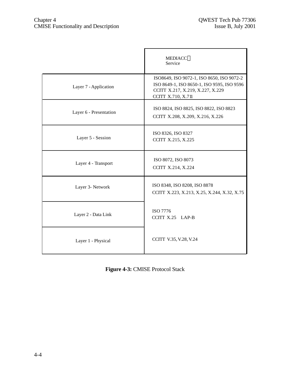|                        | <b>MEDIACC®</b><br>Service                                                                                                                        |
|------------------------|---------------------------------------------------------------------------------------------------------------------------------------------------|
| Layer 7 - Application  | ISO8649, ISO 9072-1, ISO 8650, ISO 9072-2<br>ISO 8649-1, ISO 8650-1, ISO 9595, ISO 9596<br>CCITT X.217, X.219, X.227, X.229<br>CCITT X.710, X.711 |
| Layer 6 - Presentation | ISO 8824, ISO 8825, ISO 8822, ISO 8823<br>CCITT X.208, X.209, X.216, X.226                                                                        |
| Layer 5 - Session      | ISO 8326, ISO 8327<br>CCITT X.215, X.225                                                                                                          |
| Layer 4 - Transport    | ISO 8072, ISO 8073<br>CCITT X.214, X.224                                                                                                          |
| Layer 3- Network       | ISO 8348, ISO 8208, ISO 8878<br>CCITT X.223, X.213, X.25, X.244, X.32, X.75                                                                       |
| Layer 2 - Data Link    | ISO 7776<br>CCITT X.25 LAP-B                                                                                                                      |
| Layer 1 - Physical     | CCITT V.35, V.28, V.24                                                                                                                            |

**Figure 4-3:** CMISE Protocol Stack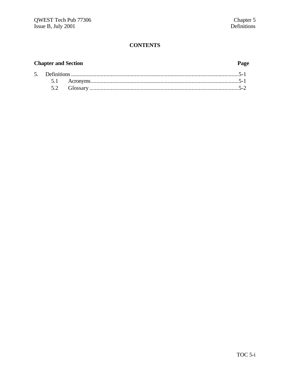## **Chapter and Section**

## Page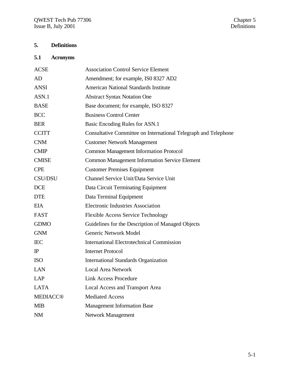## **5. Definitions**

## **5.1 Acronyms**

| <b>ACSE</b>     | <b>Association Control Service Element</b>                      |
|-----------------|-----------------------------------------------------------------|
| AD              | Amendment; for example, ISO 8327 AD2                            |
| <b>ANSI</b>     | <b>American National Standards Institute</b>                    |
| ASN.1           | <b>Abstract Syntax Notation One</b>                             |
| <b>BASE</b>     | Base document; for example, ISO 8327                            |
| <b>BCC</b>      | <b>Business Control Center</b>                                  |
| <b>BER</b>      | Basic Encoding Rules for ASN.1                                  |
| <b>CCITT</b>    | Consultative Committee on International Telegraph and Telephone |
| <b>CNM</b>      | <b>Customer Network Management</b>                              |
| <b>CMIP</b>     | <b>Common Management Information Protocol</b>                   |
| <b>CMISE</b>    | <b>Common Management Information Service Element</b>            |
| <b>CPE</b>      | <b>Customer Premises Equipment</b>                              |
| <b>CSU/DSU</b>  | Channel Service Unit/Data Service Unit                          |
| <b>DCE</b>      | Data Circuit Terminating Equipment                              |
| <b>DTE</b>      | Data Terminal Equipment                                         |
| <b>EIA</b>      | <b>Electronic Industries Association</b>                        |
| <b>FAST</b>     | <b>Flexible Access Service Technology</b>                       |
| <b>GDMO</b>     | Guidelines for the Description of Managed Objects               |
| <b>GNM</b>      | <b>Generic Network Model</b>                                    |
| <b>IEC</b>      | <b>International Electrotechnical Commission</b>                |
| $_{\rm IP}$     | <b>Internet Protocol</b>                                        |
| <b>ISO</b>      | <b>International Standards Organization</b>                     |
| <b>LAN</b>      | <b>Local Area Network</b>                                       |
| <b>LAP</b>      | Link Access Procedure                                           |
| <b>LATA</b>     | <b>Local Access and Transport Area</b>                          |
| <b>MEDIACC®</b> | <b>Mediated Access</b>                                          |
| <b>MIB</b>      | <b>Management Information Base</b>                              |
| <b>NM</b>       | <b>Network Management</b>                                       |
|                 |                                                                 |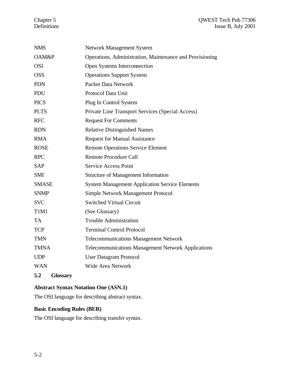## Chapter 5 QWEST Tech Pub 77306<br>Definitions Issue B, July 2001 Issue B, July 2001

| <b>NMS</b>   | <b>Network Management System</b>                          |
|--------------|-----------------------------------------------------------|
| OAM&P        | Operations, Administration, Maintenance and Provisioning  |
| <b>OSI</b>   | Open Systems Interconnection                              |
| <b>OSS</b>   | <b>Operations Support System</b>                          |
| <b>PDN</b>   | <b>Packet Data Network</b>                                |
| PDU          | Protocol Data Unit                                        |
| <b>PICS</b>  | Plug In Control System                                    |
| <b>PLTS</b>  | Private Line Transport Services (Special Access)          |
| <b>RFC</b>   | <b>Request For Comments</b>                               |
| <b>RDN</b>   | <b>Relative Distinguished Names</b>                       |
| <b>RMA</b>   | <b>Request for Manual Assistance</b>                      |
| <b>ROSE</b>  | <b>Remote Operations Service Element</b>                  |
| <b>RPC</b>   | <b>Remote Procedure Call</b>                              |
| <b>SAP</b>   | <b>Service Access Point</b>                               |
| <b>SMI</b>   | <b>Structure of Management Information</b>                |
| <b>SMASE</b> | <b>System Management Application Service Elements</b>     |
| <b>SNMP</b>  | <b>Simple Network Management Protocol</b>                 |
| <b>SVC</b>   | <b>Switched Virtual Circuit</b>                           |
| T1M1         | (See Glossary)                                            |
| <b>TA</b>    | <b>Trouble Administration</b>                             |
| <b>TCP</b>   | <b>Terminal Control Protocol</b>                          |
| <b>TMN</b>   | <b>Telecommunications Management Network</b>              |
| <b>TMNA</b>  | <b>Telecommunications Management Network Applications</b> |
| <b>UDP</b>   | <b>User Datagram Protocol</b>                             |
| <b>WAN</b>   | <b>Wide Area Network</b>                                  |
|              |                                                           |

**5.2 Glossary**

## **Abstract Syntax Notation One (ASN.1)**

The OSI language for describing abstract syntax.

## **Basic Encoding Rules (BER)**

The OSI language for describing transfer syntax.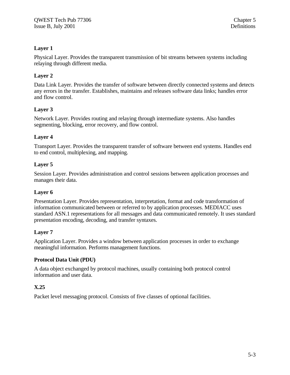## **Layer 1**

Physical Layer. Provides the transparent transmission of bit streams between systems including relaying through different media.

## **Layer 2**

Data Link Layer. Provides the transfer of software between directly connected systems and detects any errors in the transfer. Establishes, maintains and releases software data links; handles error and flow control.

## **Layer 3**

Network Layer. Provides routing and relaying through intermediate systems. Also handles segmenting, blocking, error recovery, and flow control.

## **Layer 4**

Transport Layer. Provides the transparent transfer of software between end systems. Handles end to end control, multiplexing, and mapping.

## **Layer 5**

Session Layer. Provides administration and control sessions between application processes and manages their data.

## **Layer 6**

Presentation Layer. Provides representation, interpretation, format and code transformation of information communicated between or referred to by application processes. MEDIACC uses standard ASN.1 representations for all messages and data communicated remotely. It uses standard presentation encoding, decoding, and transfer syntaxes.

## **Layer 7**

Application Layer. Provides a window between application processes in order to exchange meaningful information. Performs management functions.

## **Protocol Data Unit (PDU)**

A data object exchanged by protocol machines, usually containing both protocol control information and user data.

## **X.25**

Packet level messaging protocol. Consists of five classes of optional facilities.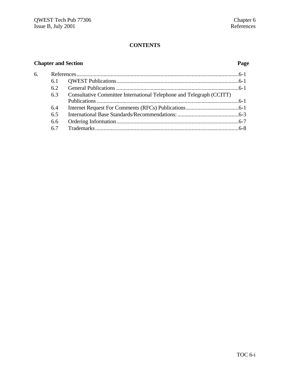## **Chapter and Section Page**

| 6. |     |                                                                      |  |
|----|-----|----------------------------------------------------------------------|--|
|    | 6.1 |                                                                      |  |
|    | 6.2 |                                                                      |  |
|    | 63  | Consultative Committee International Telephone and Telegraph (CCITT) |  |
|    |     |                                                                      |  |
|    | 6.4 |                                                                      |  |
|    | 6.5 |                                                                      |  |
|    | 6.6 |                                                                      |  |
|    | 67  |                                                                      |  |
|    |     |                                                                      |  |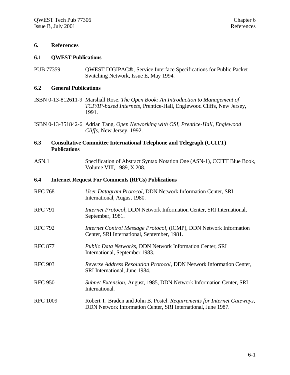#### **6. References**

#### **6.1 QWEST Publications**

PUB 77359 **OWEST DIGIPAC®**, Service Interface Specifications for Public Packet Switching Network, Issue E, May 1994.

#### **6.2 General Publications**

- ISBN 0-13-812611-9 Marshall Rose. *The Open Book: An Introduction to Management of TCP/IP-based Internets,* Prentice-Hall, Englewood Cliffs, New Jersey, 1991.
- ISBN 0-13-351842-6 Adrian Tang. *Open Networking with OSI, Prentice-Hall, Englewood Cliffs,* New Jersey, 1992.

## **6.3 Consultative Committee International Telephone and Telegraph (CCITT) Publications**

ASN.1 Specification of Abstract Syntax Notation One (ASN-1), CCITT Blue Book, Volume VIII, 1989, X.208.

#### **6.4 Internet Request For Comments (RFCs) Publications**

- RFC 768 *User Datagram Protocol,* DDN Network Information Center, SRI International, August 1980.
- RFC 791 *Internet Protocol*, DDN Network Information Center, SRI International, September, 1981.
- RFC 792 *Internet Control Message Protocol,* (ICMP), DDN Network Information Center, SRI International, September, 1981.
- RFC 877 *Public Data Networks,* DDN Network Information Center, SRI International, September 1983.
- RFC 903 *Reverse Address Resolution Protocol,* DDN Network Information Center, SRI International, June 1984.
- RFC 950 *Subnet Extension,* August, 1985, DDN Network Information Center, SRI International.
- RFC 1009 Robert T. Braden and John B. Postel. *Requirements for Internet Gateways,* DDN Network Information Center, SRI International, June 1987.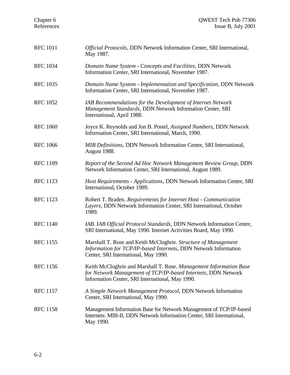| Chapter 6<br>References | QWEST Tech Pub 77306<br>Issue B, July 2001                                                                                                                                              |
|-------------------------|-----------------------------------------------------------------------------------------------------------------------------------------------------------------------------------------|
| <b>RFC 1011</b>         | Official Protocols, DDN Network Information Center, SRI International,<br>May 1987.                                                                                                     |
| <b>RFC 1034</b>         | Domain Name System - Concepts and Facilities, DDN Network<br>Information Center, SRI International, November 1987.                                                                      |
| <b>RFC 1035</b>         | Domain Name System - Implementation and Specification, DDN Network<br>Information Center, SRI International, November 1987.                                                             |
| <b>RFC 1052</b>         | IAB Recommendations for the Development of Internet Network<br>Management Standards, DDN Network Information Center, SRI<br>International, April 1988.                                  |
| <b>RFC 1060</b>         | Joyce K. Reynolds and Jon B. Postel, Assigned Numbers, DDN Network<br>Information Center, SRI International, March, 1990.                                                               |
| <b>RFC 1066</b>         | <b>MIB Definitions, DDN Network Information Center, SRI International,</b><br>August 1988.                                                                                              |
| <b>RFC 1109</b>         | Report of the Second Ad Hoc Network Management Review Group, DDN<br>Network Information Center, SRI International, August 1989.                                                         |
| <b>RFC 1123</b>         | Host Requirements - Applications, DDN Network Information Center, SRI<br>International, October 1989.                                                                                   |
| <b>RFC 1123</b>         | Robert T. Braden. Requirements for Internet Host - Communication<br>Layers, DDN Network Information Center, SRI International, October<br>1989.                                         |
| <b>RFC 1140</b>         | IAB. IAB Official Protocol Standards, DDN Network Information Center,<br>SRI International, May 1990. Internet Activities Board, May 1990.                                              |
| <b>RFC 1155</b>         | Marshall T. Rose and Keith McCloghrie. Structure of Management<br>Information for TCP/IP-based Internets, DDN Network Information<br>Center, SRI International, May 1990.               |
| <b>RFC</b> 1156         | Keith McCloghrie and Marshall T. Rose. Management Information Base<br>for Network Management of TCP/IP-based Internets, DDN Network<br>Information Center, SRI International, May 1990. |
| <b>RFC 1157</b>         | A Simple Network Management Protocol, DDN Network Information<br>Center, SRI International, May 1990.                                                                                   |
| <b>RFC 1158</b>         | Management Information Base for Network Management of TCP/IP-based<br>Internets: MIB-II, DDN Network Information Center, SRI International,<br>May 1990.                                |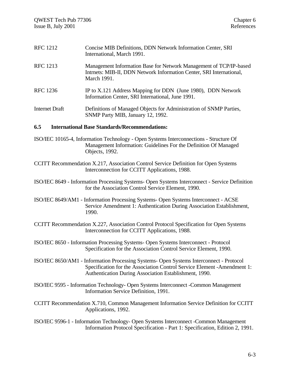| <b>RFC</b> 1212 | Concise MIB Definitions, DDN Network Information Center, SRI<br>International, March 1991.                                                                |
|-----------------|-----------------------------------------------------------------------------------------------------------------------------------------------------------|
| <b>RFC</b> 1213 | Management Information Base for Network Management of TCP/IP-based<br>Intrnets: MIB-II, DDN Network Information Center, SRI International,<br>March 1991. |
| RFC 1236        | IP to X.121 Address Mapping for DDN (June 1980), DDN Network<br>Information Center, SRI International, June 1991.                                         |
| Internet Draft  | Definitions of Managed Objects for Administration of SNMP Parties,<br>SNMP Party MIB, January 12, 1992.                                                   |
| 6.5             | <b>International Base Standards/Recommendations:</b>                                                                                                      |

- ISO/IEC 10165-4, Information Technology Open Systems Interconnections Structure Of Management Information: Guidelines For the Definition Of Managed Objects, 1992.
- CCITT Recommendation X.217, Association Control Service Definition for Open Systems Interconnection for CCITT Applications, 1988.

ISO/IEC 8649 - Information Processing Systems- Open Systems Interconnect - Service Definition for the Association Control Service Element, 1990.

ISO/IEC 8649/AM1 - Information Processing Systems- Open Systems Interconnect - ACSE Service Amendment 1: Authentication During Association Establishment, 1990.

CCITT Recommendation X.227, Association Control Protocol Specification for Open Systems Interconnection for CCITT Applications, 1988.

ISO/IEC 8650 - Information Processing Systems- Open Systems Interconnect - Protocol Specification for the Association Control Service Element, 1990.

ISO/IEC 8650/AM1 - Information Processing Systems- Open Systems Interconnect - Protocol Specification for the Association Control Service Element -Amendment 1: Authentication During Association Establishment, 1990.

ISO/IEC 9595 - Information Technology- Open Systems Interconnect -Common Management Information Service Definition, 1991.

CCITT Recommendation X.710, Common Management Information Service Definition for CCITT Applications, 1992.

ISO/IEC 9596-1 - Information Technology- Open Systems Interconnect -Common Management Information Protocol Specification - Part 1: Specification, Edition 2, 1991.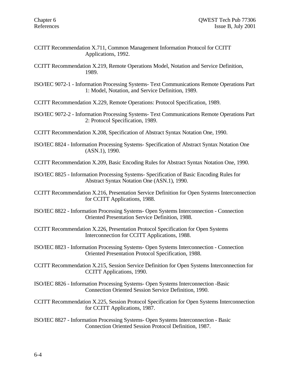- CCITT Recommendation X.711, Common Management Information Protocol for CCITT Applications, 1992.
- CCITT Recommendation X.219, Remote Operations Model, Notation and Service Definition, 1989.

ISO/IEC 9072-1 - Information Processing Systems- Text Communications Remote Operations Part 1: Model, Notation, and Service Definition, 1989.

CCITT Recommendation X.229, Remote Operations: Protocol Specification, 1989.

- ISO/IEC 9072-2 Information Processing Systems- Text Communications Remote Operations Part 2: Protocol Specification, 1989.
- CCITT Recommendation X.208, Specification of Abstract Syntax Notation One, 1990.
- ISO/IEC 8824 Information Processing Systems- Specification of Abstract Syntax Notation One (ASN.1), 1990.

CCITT Recommendation X.209, Basic Encoding Rules for Abstract Syntax Notation One, 1990.

ISO/IEC 8825 - Information Processing Systems- Specification of Basic Encoding Rules for Abstract Syntax Notation One (ASN.1), 1990.

CCITT Recommendation X.216, Presentation Service Definition for Open Systems Interconnection for CCITT Applications, 1988.

- ISO/IEC 8822 Information Processing Systems- Open Systems Interconnection Connection Oriented Presentation Service Definition, 1988.
- CCITT Recommendation X.226, Presentation Protocol Specification for Open Systems Interconnection for CCITT Applications, 1988.
- ISO/IEC 8823 Information Processing Systems- Open Systems Interconnection Connection Oriented Presentation Protocol Specification, 1988.
- CCITT Recommendation X.215, Session Service Definition for Open Systems Interconnection for CCITT Applications, 1990.
- ISO/IEC 8826 Information Processing Systems- Open Systems Interconnection -Basic Connection Oriented Session Service Definition, 1990.
- CCITT Recommendation X.225, Session Protocol Specification for Open Systems Interconnection for CCITT Applications, 1987.
- ISO/IEC 8827 Information Processing Systems- Open Systems Interconnection Basic Connection Oriented Session Protocol Definition, 1987.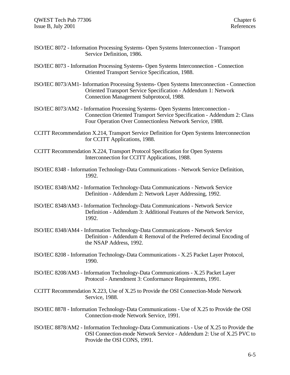- ISO/IEC 8072 Information Processing Systems- Open Systems Interconnection Transport Service Definition, 1986.
- ISO/IEC 8073 Information Processing Systems- Open Systems Interconnection Connection Oriented Transport Service Specification, 1988.
- ISO/IEC 8073/AM1- Information Processing Systems- Open Systems Interconnection Connection Oriented Transport Service Specification - Addendum 1: Network Connection Management Subprotocol, 1988.
- ISO/IEC 8073/AM2 Information Processing Systems- Open Systems Interconnection Connection Oriented Transport Service Specification - Addendum 2: Class Four Operation Over Connectionless Network Service, 1988.
- CCITT Recommendation X.214, Transport Service Definition for Open Systems Interconnection for CCITT Applications, 1988.
- CCITT Recommendation X.224, Transport Protocol Specification for Open Systems Interconnection for CCITT Applications, 1988.
- ISO/IEC 8348 Information Technology-Data Communications Network Service Definition, 1992.
- ISO/IEC 8348/AM2 Information Technology-Data Communications Network Service Definition - Addendum 2: Network Layer Addressing, 1992.
- ISO/IEC 8348/AM3 Information Technology-Data Communications Network Service Definition - Addendum 3: Additional Features of the Network Service, 1992.
- ISO/IEC 8348/AM4 Information Technology-Data Communications Network Service Definition - Addendum 4: Removal of the Preferred decimal Encoding of the NSAP Address, 1992.
- ISO/IEC 8208 Information Technology-Data Communications X.25 Packet Layer Protocol, 1990.
- ISO/IEC 8208/AM3 Information Technology-Data Communications X.25 Packet Layer Protocol - Amendment 3: Conformance Requirements, 1991.
- CCITT Recommendation X.223, Use of X.25 to Provide the OSI Connection-Mode Network Service, 1988.
- ISO/IEC 8878 Information Technology-Data Communications Use of X.25 to Provide the OSI Connection-mode Network Service, 1991.
- ISO/IEC 8878/AM2 Information Technology-Data Communications Use of X.25 to Provide the OSI Connection-mode Network Service - Addendum 2: Use of X.25 PVC to Provide the OSI CONS, 1991.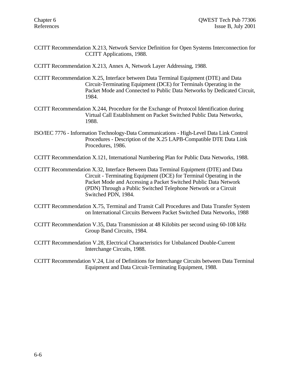CCITT Recommendation X.213, Network Service Definition for Open Systems Interconnection for CCITT Applications, 1988.

CCITT Recommendation X.213, Annex A, Network Layer Addressing, 1988.

- CCITT Recommendation X.25, Interface between Data Terminal Equipment (DTE) and Data Circuit-Terminating Equipment (DCE) for Terminals Operating in the Packet Mode and Connected to Public Data Networks by Dedicated Circuit, 1984.
- CCITT Recommendation X.244, Procedure for the Exchange of Protocol Identification during Virtual Call Establishment on Packet Switched Public Data Networks, 1988.
- ISO/IEC 7776 Information Technology-Data Communications High-Level Data Link Control Procedures - Description of the X.25 LAPB-Compatible DTE Data Link Procedures, 1986.
- CCITT Recommendation X.121, International Numbering Plan for Public Data Networks, 1988.
- CCITT Recommendation X.32, Interface Between Data Terminal Equipment (DTE) and Data Circuit - Terminating Equipment (DCE) for Terminal Operating in the Packet Mode and Accessing a Packet Switched Public Data Network (PDN) Through a Public Switched Telephone Network or a Circuit Switched PDN, 1984.
- CCITT Recommendation X.75, Terminal and Transit Call Procedures and Data Transfer System on International Circuits Between Packet Switched Data Networks, 1988
- CCITT Recommendation V.35, Data Transmission at 48 Kilobits per second using 60-108 kHz Group Band Circuits, 1984.
- CCITT Recommendation V.28, Electrical Characteristics for Unbalanced Double-Current Interchange Circuits, 1988.

CCITT Recommendation V.24, List of Definitions for Interchange Circuits between Data Terminal Equipment and Data Circuit-Terminating Equipment, 1988.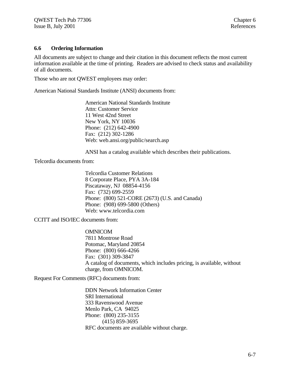### **6.6 Ordering Information**

All documents are subject to change and their citation in this document reflects the most current information available at the time of printing. Readers are advised to check status and availability of all documents.

Those who are not QWEST employees may order:

American National Standards Institute (ANSI) documents from:

American National Standards Institute Attn: Customer Service 11 West 42nd Street New York, NY 10036 Phone: (212) 642-4900 Fax: (212) 302-1286 Web: web.ansi.org/public/search.asp

ANSI has a catalog available which describes their publications.

Telcordia documents from:

Telcordia Customer Relations 8 Corporate Place, PYA 3A-184 Piscataway, NJ 08854-4156 Fax: (732) 699-2559 Phone: (800) 521-CORE (2673) (U.S. and Canada) Phone: (908) 699-5800 (Others) Web: www.telcordia.com

CCITT and ISO/IEC documents from:

OMNICOM 7811 Montrose Road Potomac, Maryland 20854 Phone: (800) 666-4266 Fax: (301) 309-3847 A catalog of documents, which includes pricing, is available, without charge, from OMNICOM.

Request For Comments (RFC) documents from:

DDN Network Information Center SRI International 333 Ravenswood Avenue Menlo Park, CA 94025 Phone: (800) 235-3155 (415) 859-3695 RFC documents are available without charge.